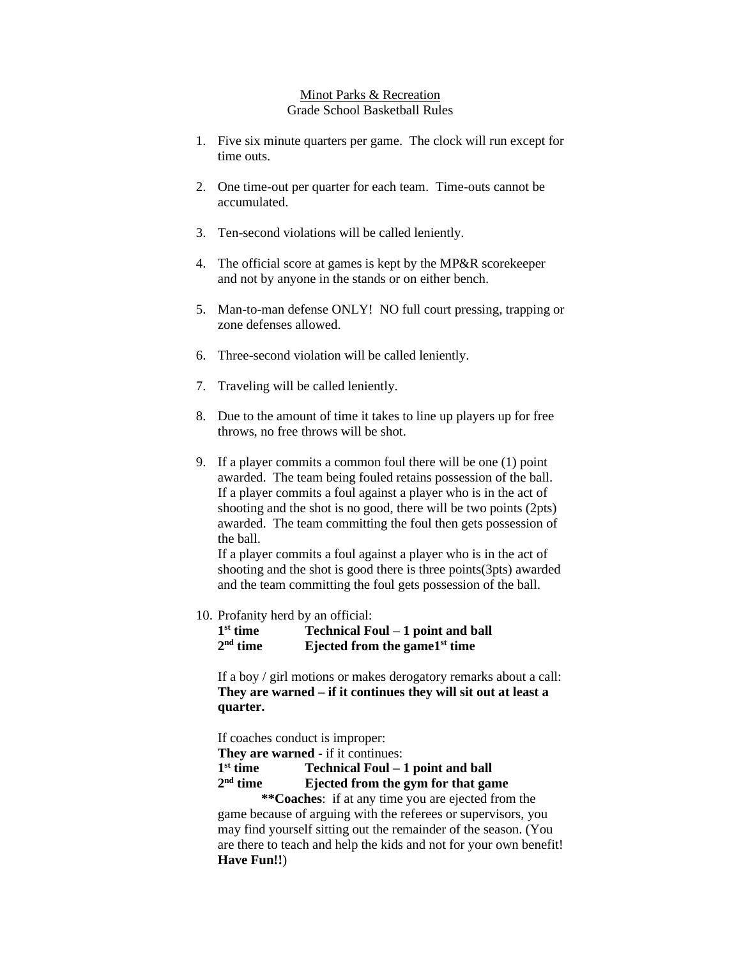## Minot Parks & Recreation Grade School Basketball Rules

- 1. Five six minute quarters per game. The clock will run except for time outs.
- 2. One time-out per quarter for each team. Time-outs cannot be accumulated.
- 3. Ten-second violations will be called leniently.
- 4. The official score at games is kept by the MP&R scorekeeper and not by anyone in the stands or on either bench.
- 5. Man-to-man defense ONLY! NO full court pressing, trapping or zone defenses allowed.
- 6. Three-second violation will be called leniently.
- 7. Traveling will be called leniently.
- 8. Due to the amount of time it takes to line up players up for free throws, no free throws will be shot.
- 9. If a player commits a common foul there will be one (1) point awarded. The team being fouled retains possession of the ball. If a player commits a foul against a player who is in the act of shooting and the shot is no good, there will be two points (2pts) awarded. The team committing the foul then gets possession of the ball.

If a player commits a foul against a player who is in the act of shooting and the shot is good there is three points(3pts) awarded and the team committing the foul gets possession of the ball.

10. Profanity herd by an official:

1<sup>st</sup> time **st time Technical Foul – 1 point and ball** 2<sup>nd</sup> time **nd time Ejected from the game1 st time** 

If a boy / girl motions or makes derogatory remarks about a call: **They are warned – if it continues they will sit out at least a quarter.**

If coaches conduct is improper:

**They are warned** - if it continues:

1<sup>st</sup> time **st time Technical Foul – 1 point and ball**

## 2<sup>nd</sup> time **Ejected from the gym for that game**

**\*\*Coaches**: if at any time you are ejected from the game because of arguing with the referees or supervisors, you may find yourself sitting out the remainder of the season. (You are there to teach and help the kids and not for your own benefit! **Have Fun!!**)